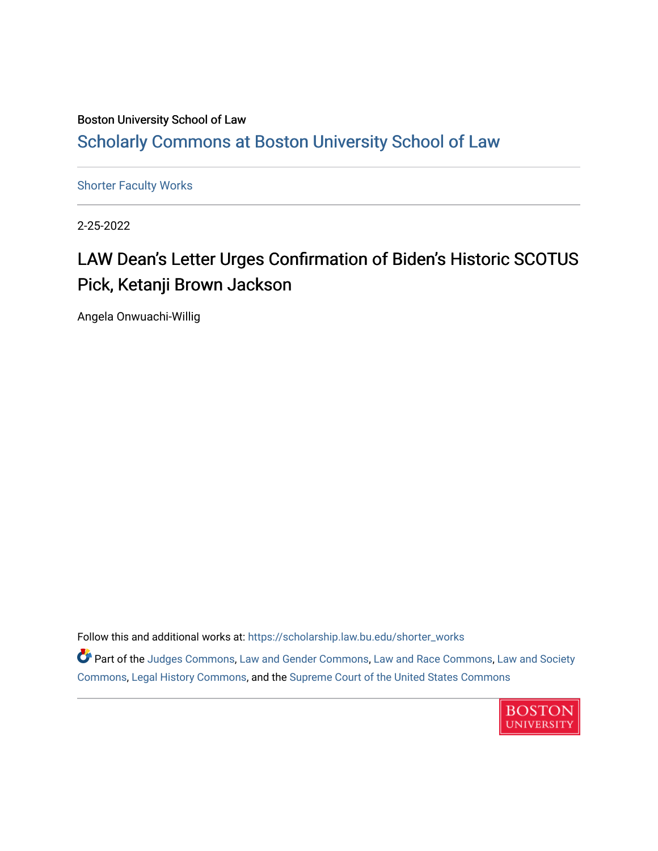## Boston University School of Law [Scholarly Commons at Boston University School of Law](https://scholarship.law.bu.edu/)

[Shorter Faculty Works](https://scholarship.law.bu.edu/shorter_works)

2-25-2022

## LAW Dean's Letter Urges Confirmation of Biden's Historic SCOTUS Pick, Ketanji Brown Jackson

Angela Onwuachi-Willig

Follow this and additional works at: [https://scholarship.law.bu.edu/shorter\\_works](https://scholarship.law.bu.edu/shorter_works?utm_source=scholarship.law.bu.edu%2Fshorter_works%2F153&utm_medium=PDF&utm_campaign=PDFCoverPages)

**Part of the [Judges Commons,](https://network.bepress.com/hgg/discipline/849?utm_source=scholarship.law.bu.edu%2Fshorter_works%2F153&utm_medium=PDF&utm_campaign=PDFCoverPages) [Law and Gender Commons](https://network.bepress.com/hgg/discipline/1298?utm_source=scholarship.law.bu.edu%2Fshorter_works%2F153&utm_medium=PDF&utm_campaign=PDFCoverPages), [Law and Race Commons](https://network.bepress.com/hgg/discipline/1300?utm_source=scholarship.law.bu.edu%2Fshorter_works%2F153&utm_medium=PDF&utm_campaign=PDFCoverPages), [Law and Society](https://network.bepress.com/hgg/discipline/853?utm_source=scholarship.law.bu.edu%2Fshorter_works%2F153&utm_medium=PDF&utm_campaign=PDFCoverPages)** [Commons](https://network.bepress.com/hgg/discipline/853?utm_source=scholarship.law.bu.edu%2Fshorter_works%2F153&utm_medium=PDF&utm_campaign=PDFCoverPages), [Legal History Commons,](https://network.bepress.com/hgg/discipline/904?utm_source=scholarship.law.bu.edu%2Fshorter_works%2F153&utm_medium=PDF&utm_campaign=PDFCoverPages) and the [Supreme Court of the United States Commons](https://network.bepress.com/hgg/discipline/1350?utm_source=scholarship.law.bu.edu%2Fshorter_works%2F153&utm_medium=PDF&utm_campaign=PDFCoverPages)

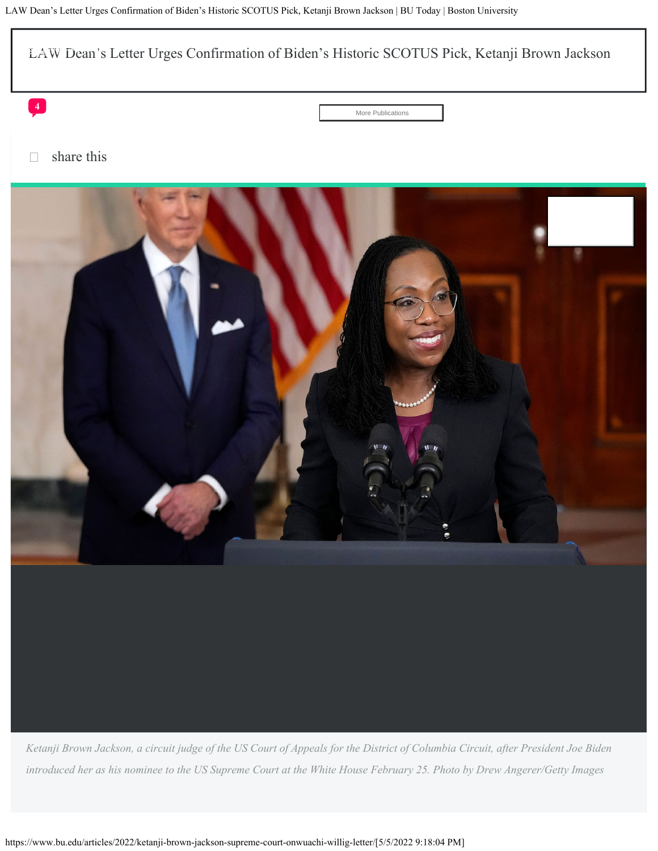<span id="page-1-0"></span>

*Ketanji Brown Jackson, a circuit judge of the US Court of Appeals for the District of Columbia Circuit, after President Joe Biden introduced her as his nominee to the US Supreme Court at the White House February 25. Photo by Drew Angerer/Getty Images*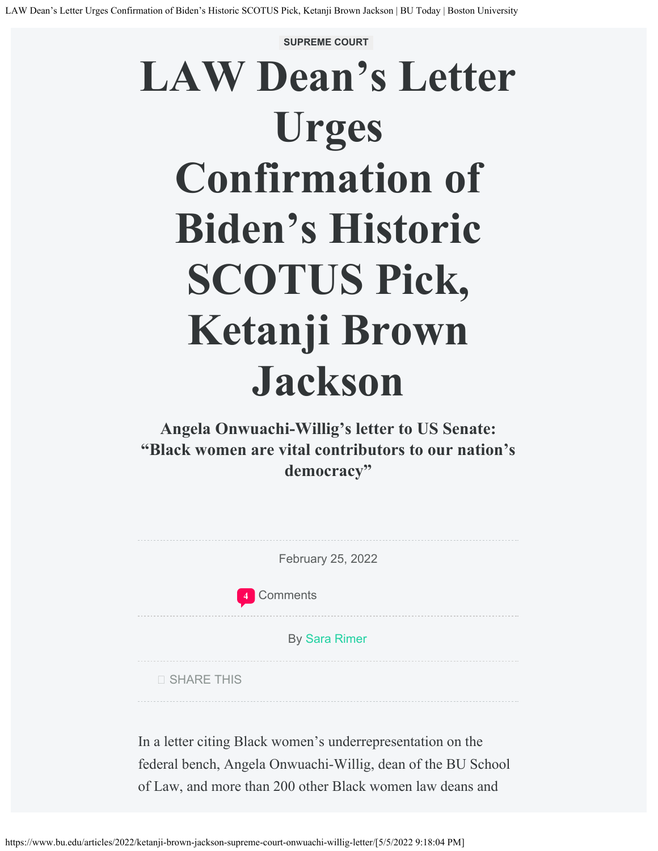## **SUPREME COURT LAW Dean's Letter Urges Confirmation of Biden's Historic SCOTUS Pick, Ketanji Brown Jackson**

**Angela Onwuachi-Willig's letter to US Senate: "Black women are vital contributors to our nation's democracy"**

February 25, 2022

Comments **[4](#page--1-1)**

By [Sara Rimer](https://www.bu.edu/today/author/sara-rimer/)

SHARE THIS

In a letter citing Black women's underrepresentation on the federal bench, Angela Onwuachi-Willig, dean of the BU School of Law, and more than 200 other Black women law deans and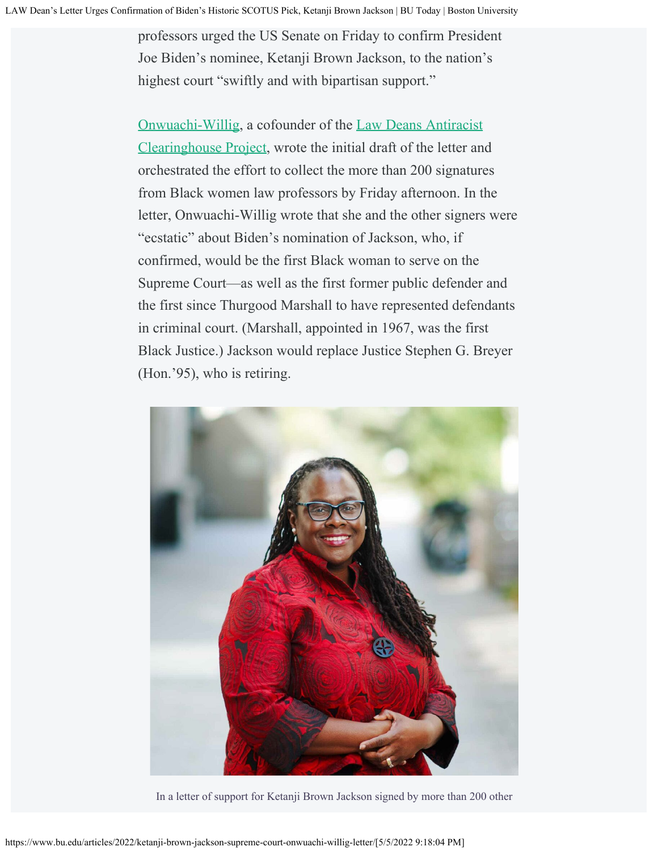professors urged the US Senate on Friday to confirm President Joe Biden's nominee, Ketanji Brown Jackson, to the nation's highest court "swiftly and with bipartisan support."

[Onwuachi-Willig,](https://www.bu.edu/law/profile/angela-onwuachi-willig/) a cofounder of the [Law Deans Antiracist](https://www.bu.edu/articles/2021/angela-onwuachi-willig-honored-for-efforts-to-bring-antiracist-reform-to-legal-educations) [Clearinghouse Project](https://www.bu.edu/articles/2021/angela-onwuachi-willig-honored-for-efforts-to-bring-antiracist-reform-to-legal-educations), wrote the initial draft of the letter and orchestrated the effort to collect the more than 200 signatures from Black women law professors by Friday afternoon. In the letter, Onwuachi-Willig wrote that she and the other signers were "ecstatic" about Biden's nomination of Jackson, who, if confirmed, would be the first Black woman to serve on the Supreme Court—as well as the first former public defender and the first since Thurgood Marshall to have represented defendants in criminal court. (Marshall, appointed in 1967, was the first Black Justice.) Jackson would replace Justice Stephen G. Breyer (Hon.'95), who is retiring.



In a letter of support for Ketanji Brown Jackson signed by more than 200 other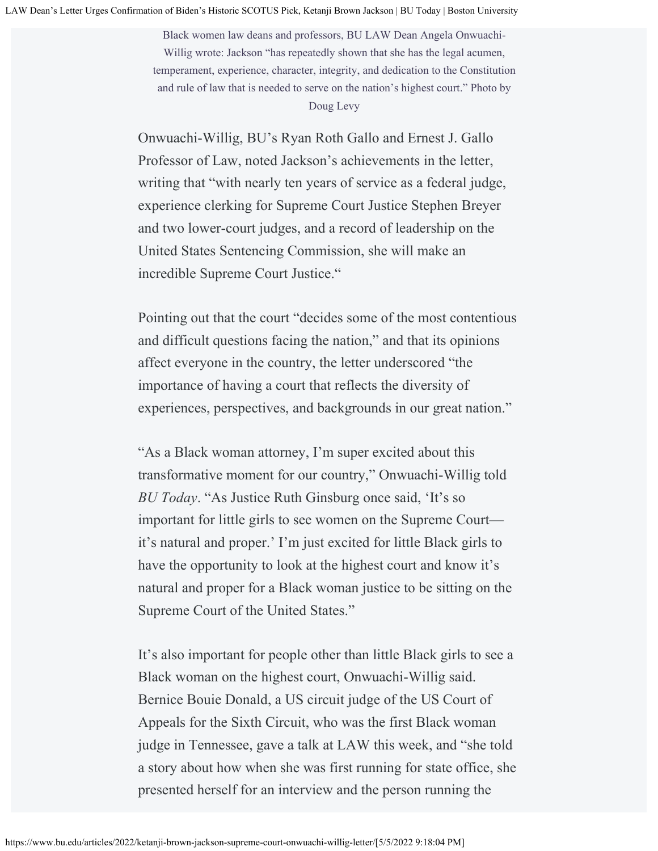Black women law deans and professors, BU LAW Dean Angela Onwuachi-Willig wrote: Jackson "has repeatedly shown that she has the legal acumen, temperament, experience, character, integrity, and dedication to the Constitution and rule of law that is needed to serve on the nation's highest court." Photo by Doug Levy

Onwuachi-Willig, BU's Ryan Roth Gallo and Ernest J. Gallo Professor of Law, noted Jackson's achievements in the letter, writing that "with nearly ten years of service as a federal judge, experience clerking for Supreme Court Justice Stephen Breyer and two lower-court judges, and a record of leadership on the United States Sentencing Commission, she will make an incredible Supreme Court Justice."

Pointing out that the court "decides some of the most contentious and difficult questions facing the nation," and that its opinions affect everyone in the country, the letter underscored "the importance of having a court that reflects the diversity of experiences, perspectives, and backgrounds in our great nation."

"As a Black woman attorney, I'm super excited about this transformative moment for our country," Onwuachi-Willig told *BU Today*. "As Justice Ruth Ginsburg once said, 'It's so important for little girls to see women on the Supreme Court it's natural and proper.' I'm just excited for little Black girls to have the opportunity to look at the highest court and know it's natural and proper for a Black woman justice to be sitting on the Supreme Court of the United States."

It's also important for people other than little Black girls to see a Black woman on the highest court, Onwuachi-Willig said. Bernice Bouie Donald, a US circuit judge of the US Court of Appeals for the Sixth Circuit, who was the first Black woman judge in Tennessee, gave a talk at LAW this week, and "she told a story about how when she was first running for state office, she presented herself for an interview and the person running the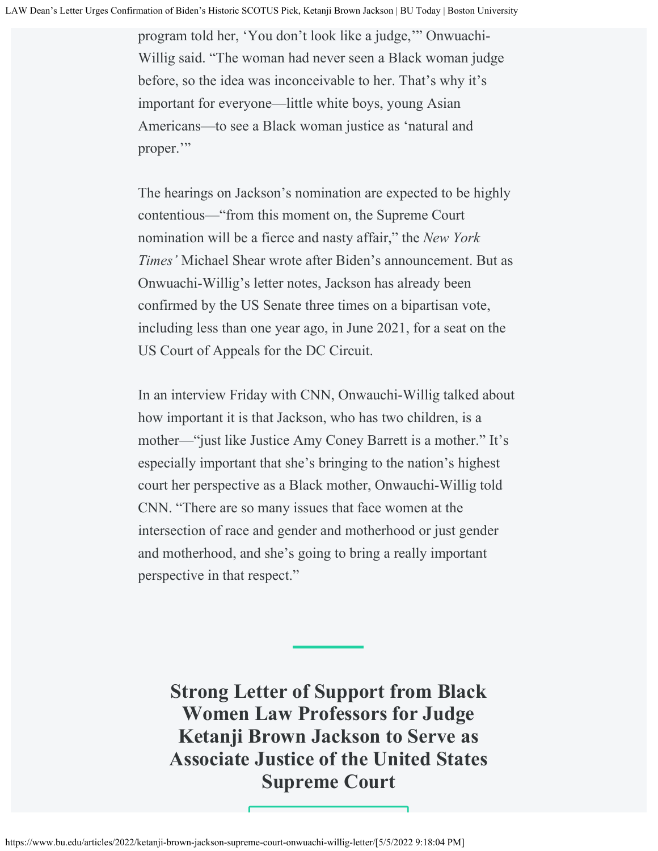program told her, 'You don't look like a judge,'" Onwuachi-Willig said. "The woman had never seen a Black woman judge before, so the idea was inconceivable to her. That's why it's important for everyone—little white boys, young Asian Americans—to see a Black woman justice as 'natural and proper."

The hearings on Jackson's nomination are expected to be highly contentious—"from this moment on, the Supreme Court nomination will be a fierce and nasty affair," the *New York Times'* Michael Shear wrote after Biden's announcement. But as Onwuachi-Willig's letter notes, Jackson has already been confirmed by the US Senate three times on a bipartisan vote, including less than one year ago, in June 2021, for a seat on the US Court of Appeals for the DC Circuit.

In an interview Friday with CNN, Onwauchi-Willig talked about how important it is that Jackson, who has two children, is a mother—"just like Justice Amy Coney Barrett is a mother." It's especially important that she's bringing to the nation's highest court her perspective as a Black mother, Onwauchi-Willig told CNN. "There are so many issues that face women at the intersection of race and gender and motherhood or just gender and motherhood, and she's going to bring a really important perspective in that respect."

**Strong Letter of Support from Black Women Law Professors for Judge Ketanji Brown Jackson to Serve as Associate Justice of the United States Supreme Court**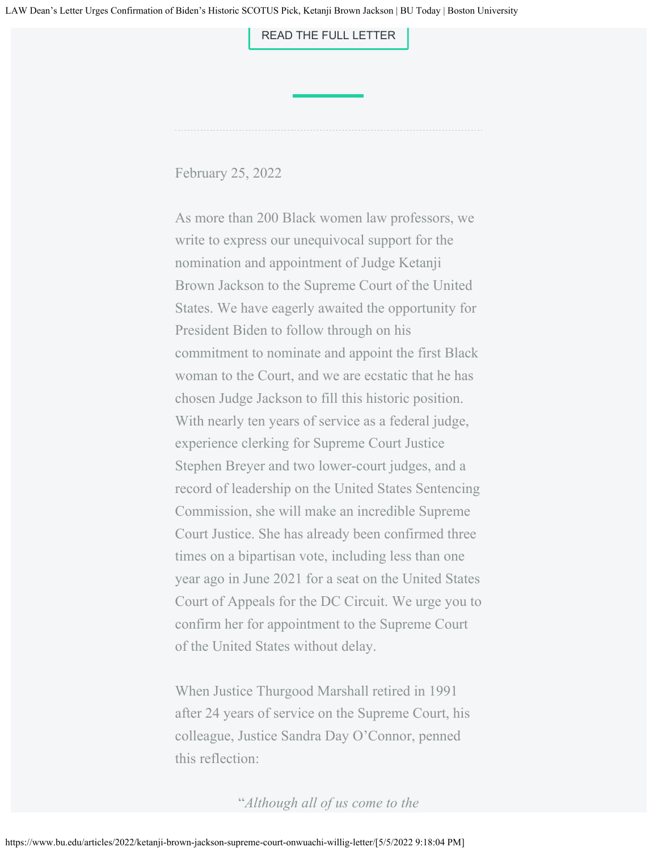[READ THE FULL LETTER](#page-1-0)

February 25, 2022

As more than 200 Black women law professors, we write to express our unequivocal support for the nomination and appointment of Judge Ketanji Brown Jackson to the Supreme Court of the United States. We have eagerly awaited the opportunity for President Biden to follow through on his commitment to nominate and appoint the first Black woman to the Court, and we are ecstatic that he has chosen Judge Jackson to fill this historic position. With nearly ten years of service as a federal judge, experience clerking for Supreme Court Justice Stephen Breyer and two lower-court judges, and a record of leadership on the United States Sentencing Commission, she will make an incredible Supreme Court Justice. She has already been confirmed three times on a bipartisan vote, including less than one year ago in June 2021 for a seat on the United States Court of Appeals for the DC Circuit. We urge you to confirm her for appointment to the Supreme Court of the United States without delay.

When Justice Thurgood Marshall retired in 1991 after 24 years of service on the Supreme Court, his colleague, Justice Sandra Day O'Connor, penned this reflection:

"*Although all of us come to the*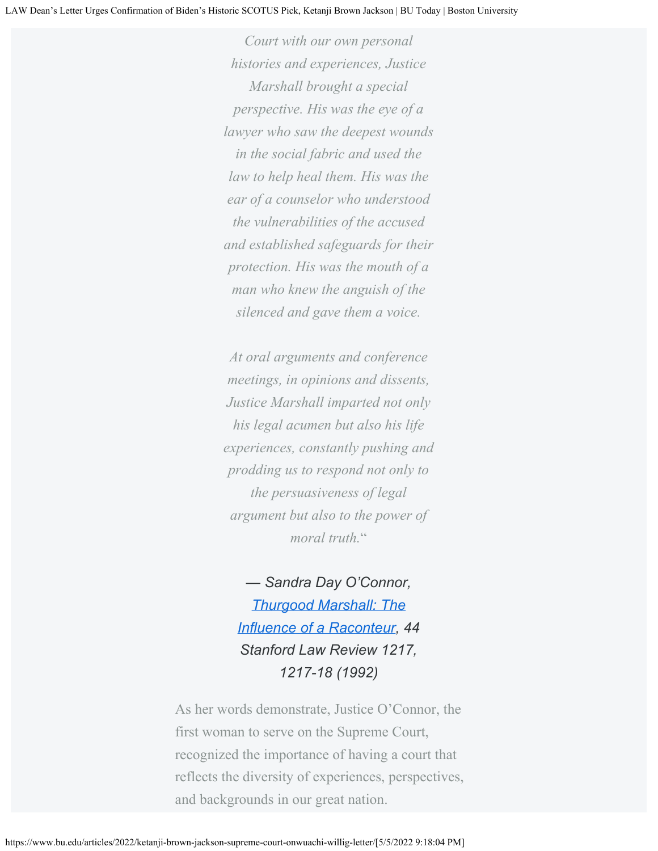*Court with our own personal histories and experiences, Justice Marshall brought a special perspective. His was the eye of a lawyer who saw the deepest wounds in the social fabric and used the law to help heal them. His was the ear of a counselor who understood the vulnerabilities of the accused and established safeguards for their protection. His was the mouth of a man who knew the anguish of the silenced and gave them a voice.*

*At oral arguments and conference meetings, in opinions and dissents, Justice Marshall imparted not only his legal acumen but also his life experiences, constantly pushing and prodding us to respond not only to the persuasiveness of legal argument but also to the power of moral truth.*"

*— Sandra Day O'Connor, [Thurgood Marshall: The](https://www.jstor.org/stable/1229051?seq=1#metadata_info_tab_contents) [Influence of a Raconteur](https://www.jstor.org/stable/1229051?seq=1#metadata_info_tab_contents), 44 Stanford Law Review 1217, 1217-18 (1992)*

As her words demonstrate, Justice O'Connor, the first woman to serve on the Supreme Court, recognized the importance of having a court that reflects the diversity of experiences, perspectives, and backgrounds in our great nation.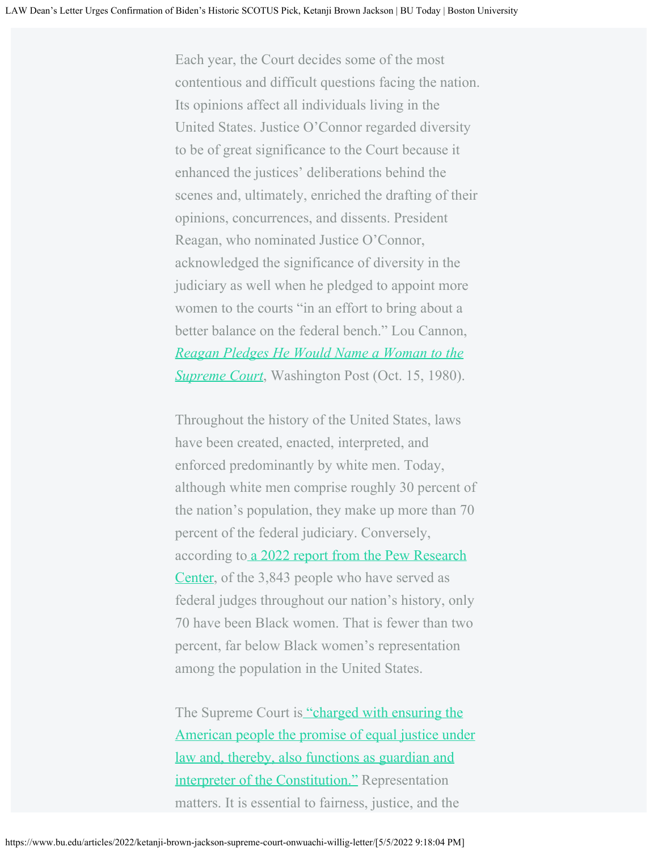Each year, the Court decides some of the most contentious and difficult questions facing the nation. Its opinions affect all individuals living in the United States. Justice O'Connor regarded diversity to be of great significance to the Court because it enhanced the justices' deliberations behind the scenes and, ultimately, enriched the drafting of their opinions, concurrences, and dissents. President Reagan, who nominated Justice O'Connor, acknowledged the significance of diversity in the judiciary as well when he pledged to appoint more women to the courts "in an effort to bring about a better balance on the federal bench." Lou Cannon, *[Reagan Pledges He Would Name a Woman to the](https://www.washingtonpost.com/archive/politics/1980/10/15/reagan-pledges-he-would-name-a-woman-to-the-supreme-court/844817dc-27aa-4f5d-8e4f-0ab3a5e76865/) [Supreme Court](https://www.washingtonpost.com/archive/politics/1980/10/15/reagan-pledges-he-would-name-a-woman-to-the-supreme-court/844817dc-27aa-4f5d-8e4f-0ab3a5e76865/)*, Washington Post (Oct. 15, 1980).

Throughout the history of the United States, laws have been created, enacted, interpreted, and enforced predominantly by white men. Today, although white men comprise roughly 30 percent of the nation's population, they make up more than 70 percent of the federal judiciary. Conversely, acc[o](https://www.pewresearch.org/fact-tank/2022/02/02/black-women-account-for-a-small-fraction-of-the-federal-judges-who-have-served-to-date/)rding to [a 2022 report from the Pew Research](https://www.pewresearch.org/fact-tank/2022/02/02/black-women-account-for-a-small-fraction-of-the-federal-judges-who-have-served-to-date/) [Center](https://www.pewresearch.org/fact-tank/2022/02/02/black-women-account-for-a-small-fraction-of-the-federal-judges-who-have-served-to-date/), of the 3,843 people who have served as federal judges throughout our nation's history, only 70 have been Black women. That is fewer than two percent, far below Black women's representation among the population in the United States.

The Supreme Court is ["charged with ensuring the](https://www.supremecourt.gov/about/constitutional.aspx) [American people the promise of equal justice under](https://www.supremecourt.gov/about/constitutional.aspx) [law and, thereby, also functions as guardian and](https://www.supremecourt.gov/about/constitutional.aspx) [interpreter of the Constitution."](https://www.supremecourt.gov/about/constitutional.aspx) Representation matters. It is essential to fairness, justice, and the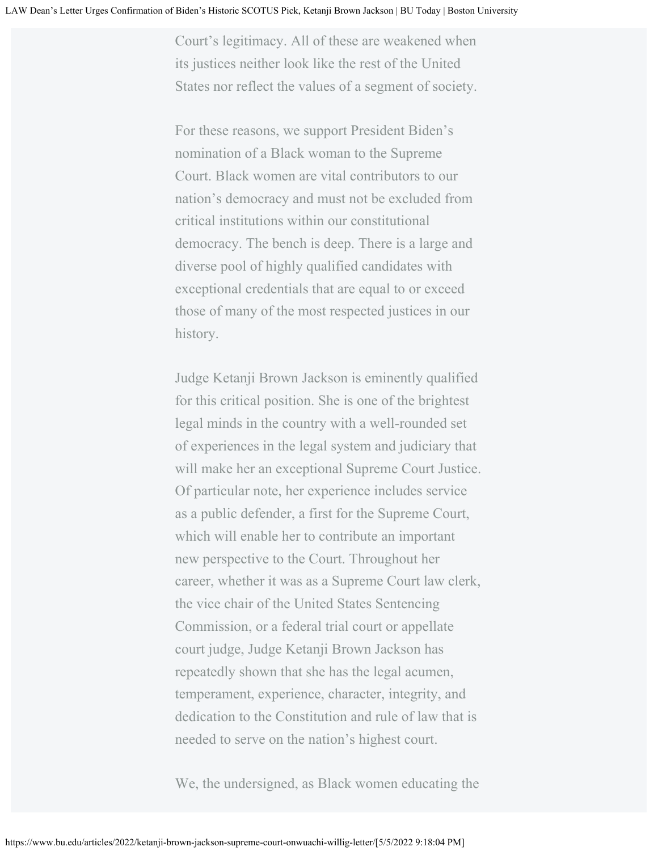Court's legitimacy. All of these are weakened when its justices neither look like the rest of the United States nor reflect the values of a segment of society.

For these reasons, we support President Biden's nomination of a Black woman to the Supreme Court. Black women are vital contributors to our nation's democracy and must not be excluded from critical institutions within our constitutional democracy. The bench is deep. There is a large and diverse pool of highly qualified candidates with exceptional credentials that are equal to or exceed those of many of the most respected justices in our history.

Judge Ketanji Brown Jackson is eminently qualified for this critical position. She is one of the brightest legal minds in the country with a well-rounded set of experiences in the legal system and judiciary that will make her an exceptional Supreme Court Justice. Of particular note, her experience includes service as a public defender, a first for the Supreme Court, which will enable her to contribute an important new perspective to the Court. Throughout her career, whether it was as a Supreme Court law clerk, the vice chair of the United States Sentencing Commission, or a federal trial court or appellate court judge, Judge Ketanji Brown Jackson has repeatedly shown that she has the legal acumen, temperament, experience, character, integrity, and dedication to the Constitution and rule of law that is needed to serve on the nation's highest court.

We, the undersigned, as Black women educating the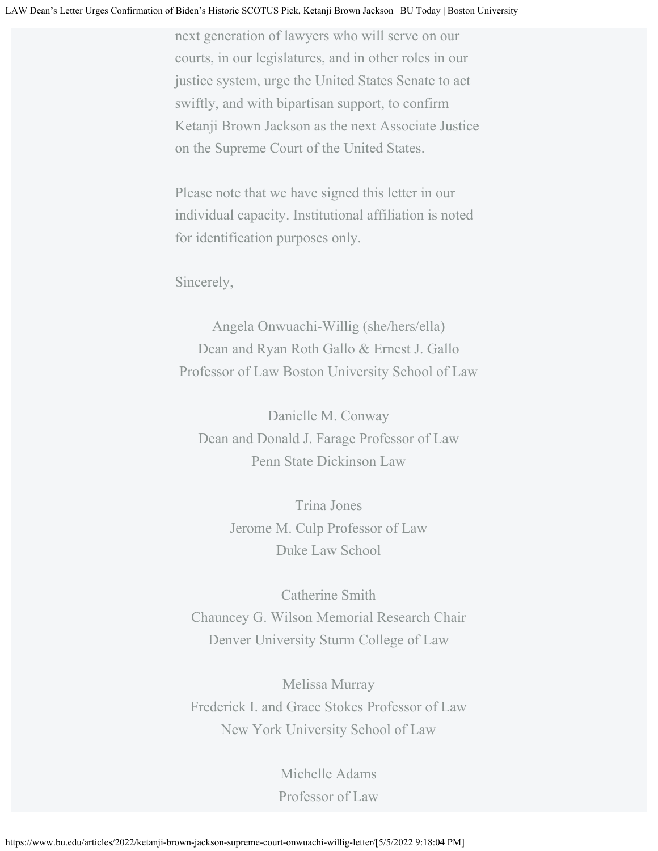next generation of lawyers who will serve on our courts, in our legislatures, and in other roles in our justice system, urge the United States Senate to act swiftly, and with bipartisan support, to confirm Ketanji Brown Jackson as the next Associate Justice on the Supreme Court of the United States.

Please note that we have signed this letter in our individual capacity. Institutional affiliation is noted for identification purposes only.

Sincerely,

Angela Onwuachi-Willig (she/hers/ella) Dean and Ryan Roth Gallo & Ernest J. Gallo Professor of Law Boston University School of Law

Danielle M. Conway Dean and Donald J. Farage Professor of Law Penn State Dickinson Law

> Trina Jones Jerome M. Culp Professor of Law Duke Law School

Catherine Smith Chauncey G. Wilson Memorial Research Chair Denver University Sturm College of Law

Melissa Murray Frederick I. and Grace Stokes Professor of Law New York University School of Law

> Michelle Adams Professor of Law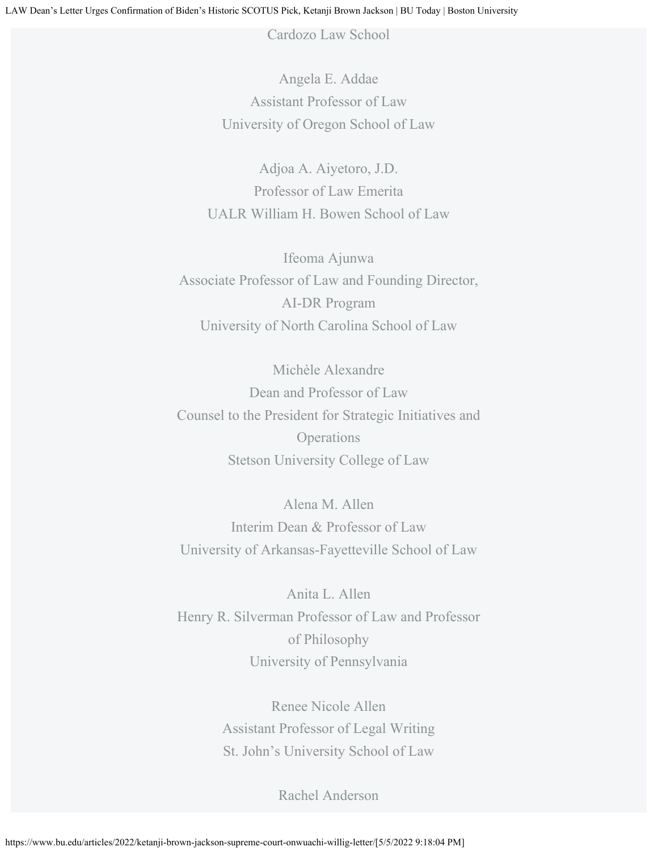Cardozo Law School

Angela E. Addae Assistant Professor of Law University of Oregon School of Law

Adjoa A. Aiyetoro, J.D. Professor of Law Emerita UALR William H. Bowen School of Law

Ifeoma Ajunwa Associate Professor of Law and Founding Director, AI-DR Program University of North Carolina School of Law

Michèle Alexandre Dean and Professor of Law Counsel to the President for Strategic Initiatives and **Operations** Stetson University College of Law

Alena M. Allen Interim Dean & Professor of Law University of Arkansas-Fayetteville School of Law

Anita L. Allen Henry R. Silverman Professor of Law and Professor of Philosophy University of Pennsylvania

> Renee Nicole Allen Assistant Professor of Legal Writing St. John's University School of Law

> > Rachel Anderson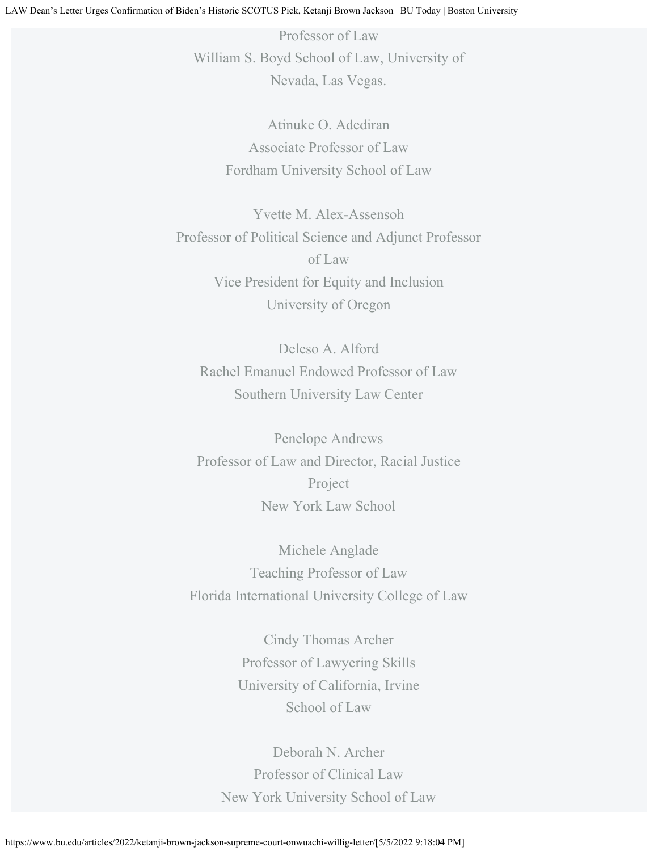Professor of Law William S. Boyd School of Law, University of Nevada, Las Vegas.

> Atinuke O. Adediran Associate Professor of Law Fordham University School of Law

Yvette M. Alex-Assensoh Professor of Political Science and Adjunct Professor of Law Vice President for Equity and Inclusion University of Oregon

Deleso A. Alford Rachel Emanuel Endowed Professor of Law Southern University Law Center

Penelope Andrews Professor of Law and Director, Racial Justice Project New York Law School

Michele Anglade Teaching Professor of Law Florida International University College of Law

> Cindy Thomas Archer Professor of Lawyering Skills University of California, Irvine School of Law

Deborah N. Archer Professor of Clinical Law New York University School of Law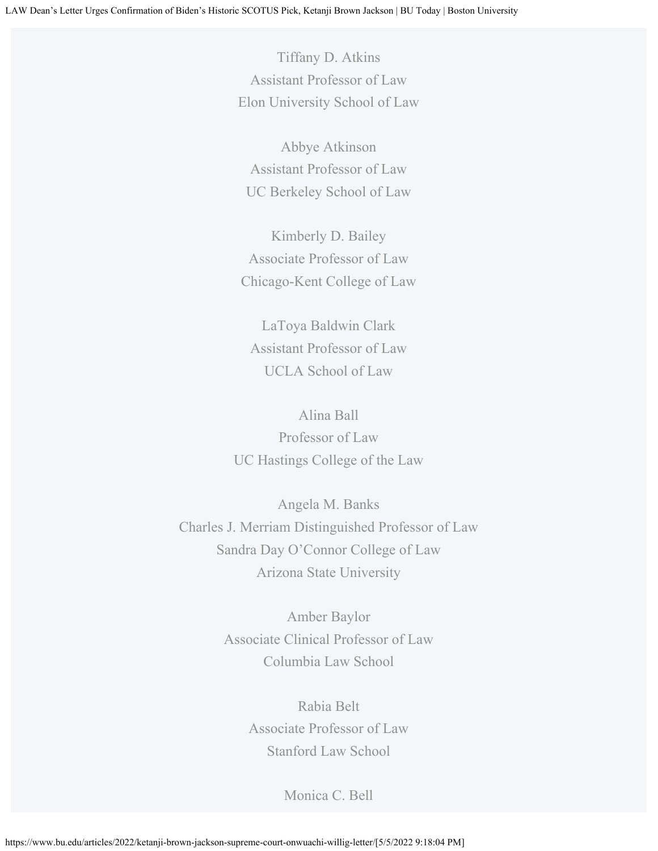Tiffany D. Atkins Assistant Professor of Law Elon University School of Law

Abbye Atkinson Assistant Professor of Law UC Berkeley School of Law

Kimberly D. Bailey Associate Professor of Law Chicago-Kent College of Law

LaToya Baldwin Clark Assistant Professor of Law UCLA School of Law

Alina Ball Professor of Law UC Hastings College of the Law

Angela M. Banks Charles J. Merriam Distinguished Professor of Law Sandra Day O'Connor College of Law Arizona State University

> Amber Baylor Associate Clinical Professor of Law Columbia Law School

> > Rabia Belt Associate Professor of Law Stanford Law School

> > > Monica C. Bell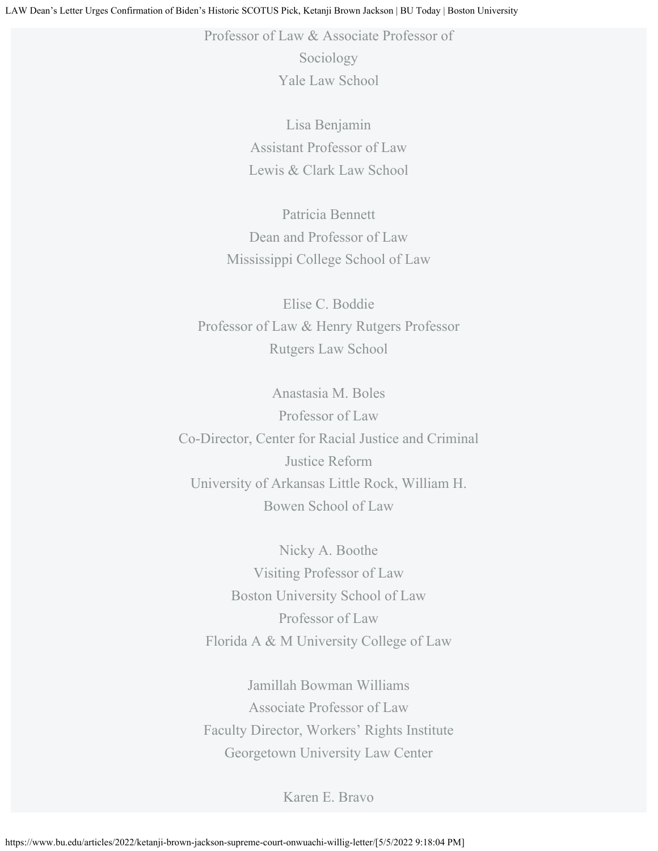Professor of Law & Associate Professor of

Sociology Yale Law School

Lisa Benjamin Assistant Professor of Law Lewis & Clark Law School

Patricia Bennett Dean and Professor of Law Mississippi College School of Law

Elise C. Boddie Professor of Law & Henry Rutgers Professor Rutgers Law School

Anastasia M. Boles Professor of Law Co-Director, Center for Racial Justice and Criminal Justice Reform University of Arkansas Little Rock, William H. Bowen School of Law

Nicky A. Boothe Visiting Professor of Law Boston University School of Law Professor of Law Florida A & M University College of Law

Jamillah Bowman Williams Associate Professor of Law Faculty Director, Workers' Rights Institute Georgetown University Law Center

Karen E. Bravo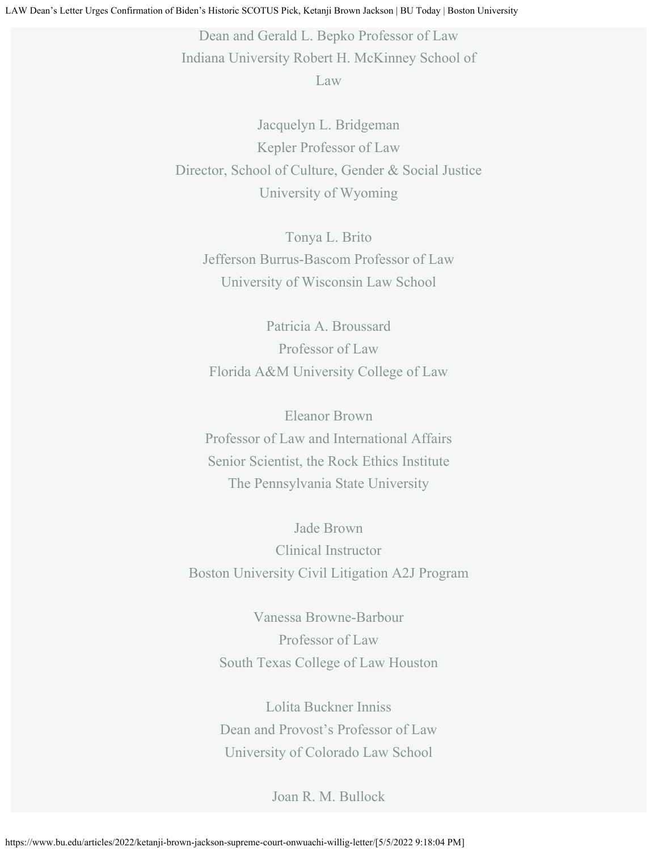Dean and Gerald L. Bepko Professor of Law Indiana University Robert H. McKinney School of Law

Jacquelyn L. Bridgeman Kepler Professor of Law Director, School of Culture, Gender & Social Justice University of Wyoming

Tonya L. Brito Jefferson Burrus-Bascom Professor of Law University of Wisconsin Law School

Patricia A. Broussard Professor of Law Florida A&M University College of Law

Eleanor Brown Professor of Law and International Affairs Senior Scientist, the Rock Ethics Institute The Pennsylvania State University

Jade Brown Clinical Instructor Boston University Civil Litigation A2J Program

> Vanessa Browne-Barbour Professor of Law South Texas College of Law Houston

Lolita Buckner Inniss Dean and Provost's Professor of Law University of Colorado Law School

Joan R. M. Bullock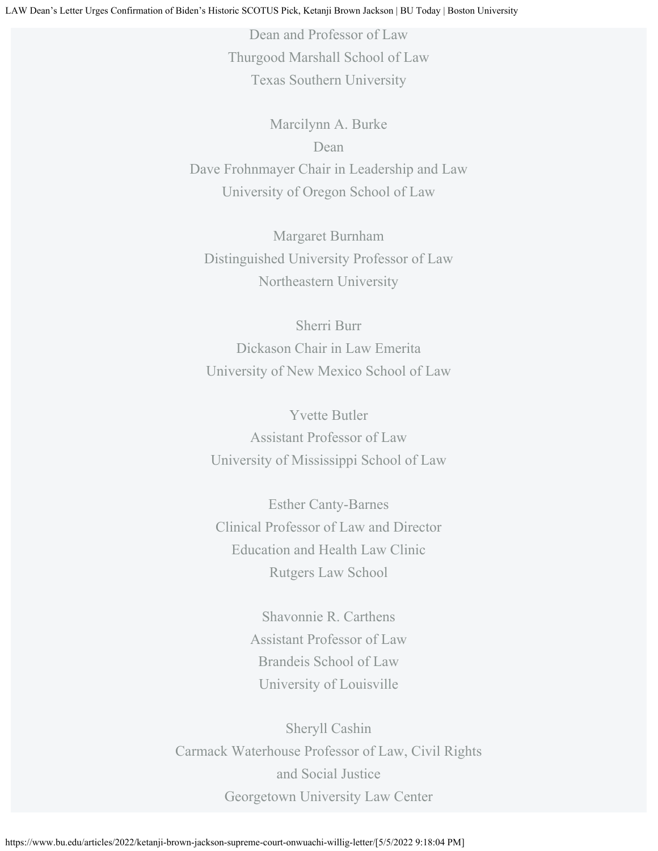Dean and Professor of Law Thurgood Marshall School of Law Texas Southern University

Marcilynn A. Burke Dean Dave Frohnmayer Chair in Leadership and Law University of Oregon School of Law

Margaret Burnham Distinguished University Professor of Law Northeastern University

Sherri Burr Dickason Chair in Law Emerita University of New Mexico School of Law

Yvette Butler Assistant Professor of Law University of Mississippi School of Law

Esther Canty-Barnes Clinical Professor of Law and Director Education and Health Law Clinic Rutgers Law School

> Shavonnie R. Carthens Assistant Professor of Law Brandeis School of Law University of Louisville

Sheryll Cashin Carmack Waterhouse Professor of Law, Civil Rights and Social Justice Georgetown University Law Center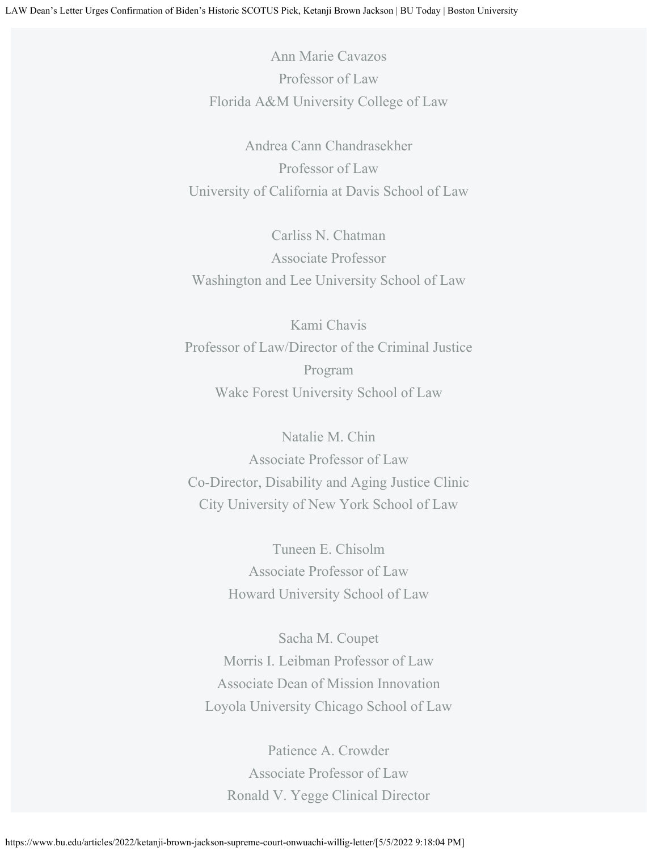Ann Marie Cavazos Professor of Law Florida A&M University College of Law

Andrea Cann Chandrasekher Professor of Law University of California at Davis School of Law

Carliss N. Chatman Associate Professor Washington and Lee University School of Law

Kami Chavis Professor of Law/Director of the Criminal Justice Program Wake Forest University School of Law

Natalie M. Chin Associate Professor of Law Co-Director, Disability and Aging Justice Clinic City University of New York School of Law

> Tuneen E. Chisolm Associate Professor of Law Howard University School of Law

Sacha M. Coupet Morris I. Leibman Professor of Law Associate Dean of Mission Innovation Loyola University Chicago School of Law

Patience A. Crowder Associate Professor of Law Ronald V. Yegge Clinical Director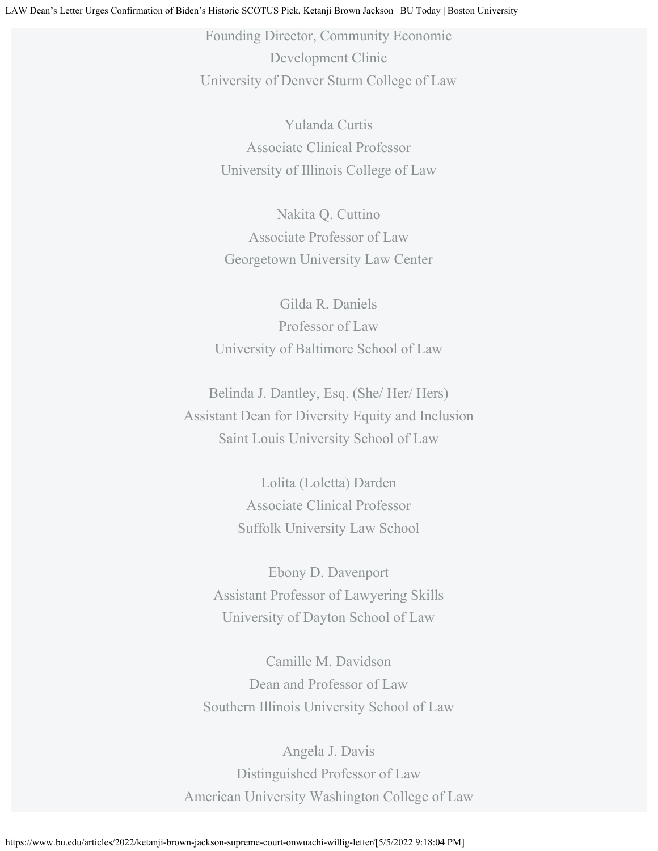Founding Director, Community Economic Development Clinic University of Denver Sturm College of Law

Yulanda Curtis Associate Clinical Professor University of Illinois College of Law

Nakita Q. Cuttino Associate Professor of Law Georgetown University Law Center

Gilda R. Daniels Professor of Law University of Baltimore School of Law

Belinda J. Dantley, Esq. (She/ Her/ Hers) Assistant Dean for Diversity Equity and Inclusion Saint Louis University School of Law

> Lolita (Loletta) Darden Associate Clinical Professor Suffolk University Law School

Ebony D. Davenport Assistant Professor of Lawyering Skills University of Dayton School of Law

Camille M. Davidson Dean and Professor of Law Southern Illinois University School of Law

Angela J. Davis Distinguished Professor of Law American University Washington College of Law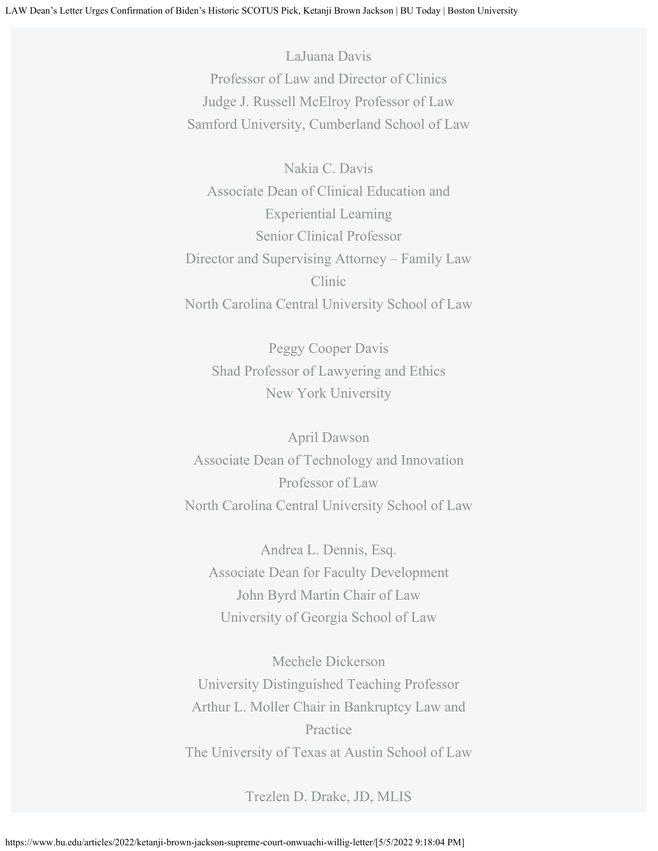LaJuana Davis Professor of Law and Director of Clinics Judge J. Russell McElroy Professor of Law Samford University, Cumberland School of Law

Nakia C. Davis Associate Dean of Clinical Education and Experiential Learning Senior Clinical Professor Director and Supervising Attorney – Family Law Clinic North Carolina Central University School of Law

Peggy Cooper Davis Shad Professor of Lawyering and Ethics New York University

April Dawson Associate Dean of Technology and Innovation Professor of Law North Carolina Central University School of Law

Andrea L. Dennis, Esq. Associate Dean for Faculty Development John Byrd Martin Chair of Law University of Georgia School of Law

Mechele Dickerson University Distinguished Teaching Professor Arthur L. Moller Chair in Bankruptcy Law and Practice The University of Texas at Austin School of Law

Trezlen D. Drake, JD, MLIS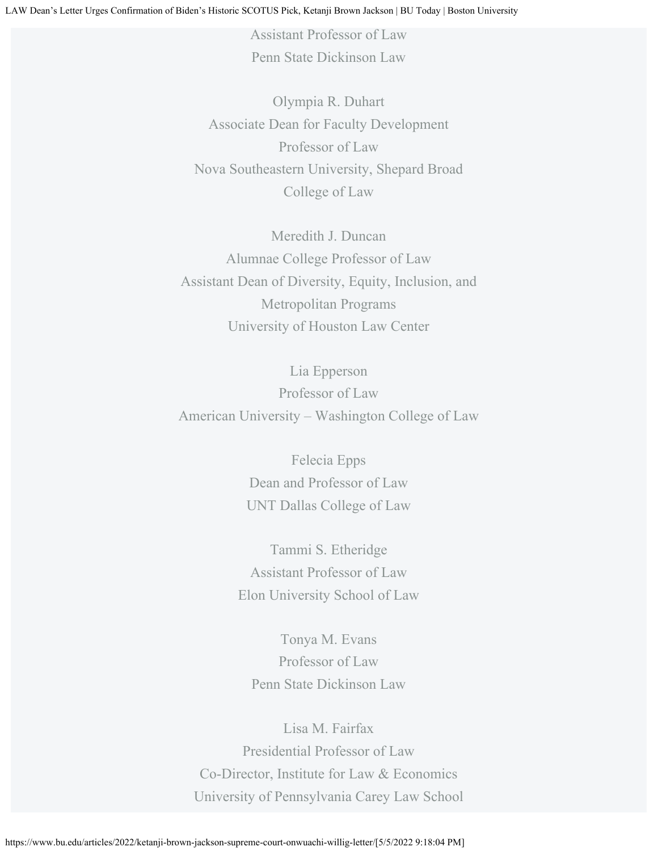Assistant Professor of Law Penn State Dickinson Law

Olympia R. Duhart Associate Dean for Faculty Development Professor of Law Nova Southeastern University, Shepard Broad College of Law

Meredith J. Duncan Alumnae College Professor of Law Assistant Dean of Diversity, Equity, Inclusion, and Metropolitan Programs University of Houston Law Center

Lia Epperson Professor of Law American University – Washington College of Law

> Felecia Epps Dean and Professor of Law UNT Dallas College of Law

Tammi S. Etheridge Assistant Professor of Law Elon University School of Law

Tonya M. Evans Professor of Law Penn State Dickinson Law

Lisa M. Fairfax Presidential Professor of Law Co-Director, Institute for Law & Economics University of Pennsylvania Carey Law School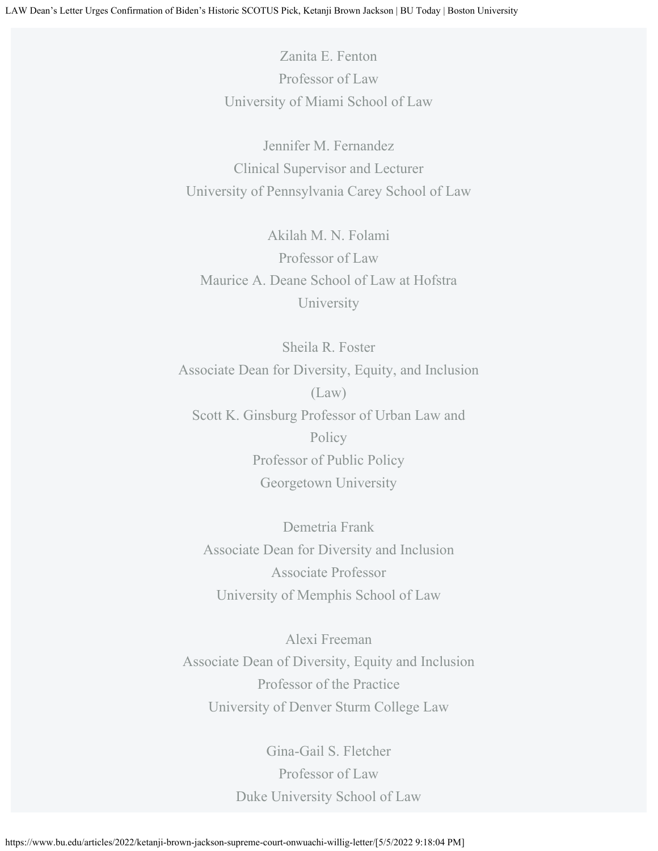Zanita E. Fenton Professor of Law University of Miami School of Law

Jennifer M. Fernandez Clinical Supervisor and Lecturer University of Pennsylvania Carey School of Law

Akilah M. N. Folami Professor of Law Maurice A. Deane School of Law at Hofstra University

Sheila R. Foster Associate Dean for Diversity, Equity, and Inclusion (Law) Scott K. Ginsburg Professor of Urban Law and Policy Professor of Public Policy Georgetown University

Demetria Frank Associate Dean for Diversity and Inclusion Associate Professor University of Memphis School of Law

Alexi Freeman Associate Dean of Diversity, Equity and Inclusion Professor of the Practice University of Denver Sturm College Law

> Gina-Gail S. Fletcher Professor of Law Duke University School of Law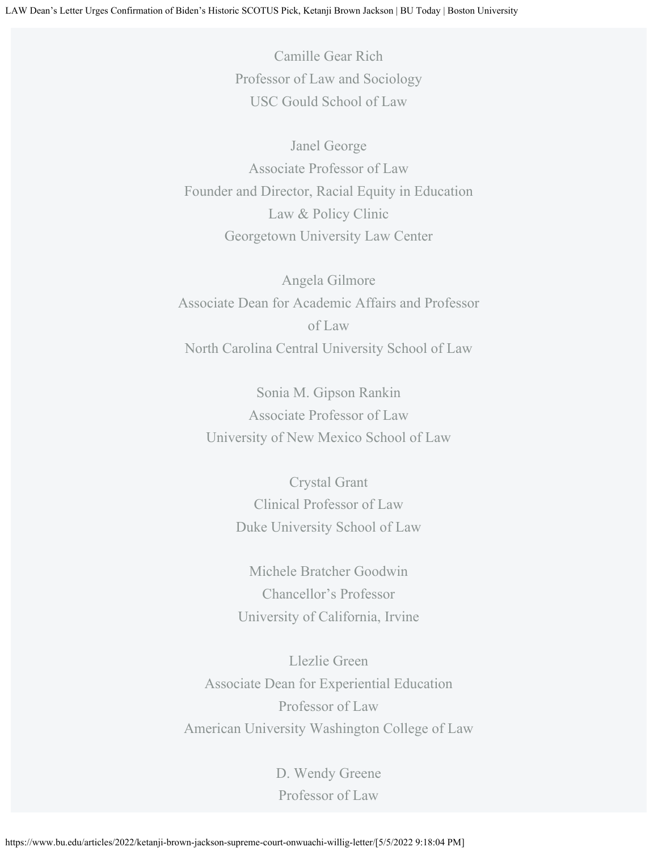Camille Gear Rich Professor of Law and Sociology USC Gould School of Law

Janel George Associate Professor of Law Founder and Director, Racial Equity in Education Law & Policy Clinic Georgetown University Law Center

Angela Gilmore Associate Dean for Academic Affairs and Professor of Law North Carolina Central University School of Law

Sonia M. Gipson Rankin Associate Professor of Law University of New Mexico School of Law

Crystal Grant Clinical Professor of Law Duke University School of Law

Michele Bratcher Goodwin Chancellor's Professor University of California, Irvine

Llezlie Green Associate Dean for Experiential Education Professor of Law American University Washington College of Law

> D. Wendy Greene Professor of Law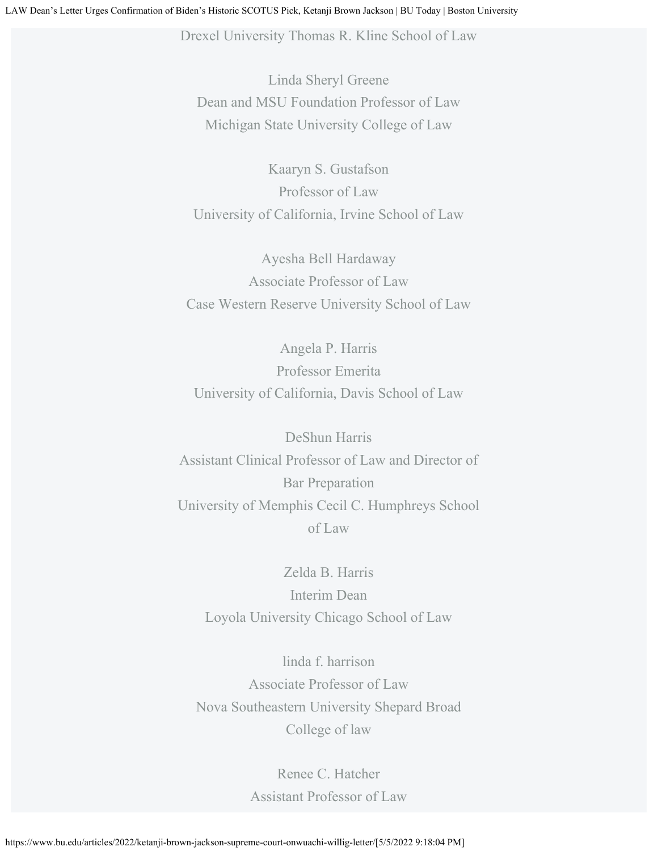Drexel University Thomas R. Kline School of Law

Linda Sheryl Greene Dean and MSU Foundation Professor of Law Michigan State University College of Law

Kaaryn S. Gustafson Professor of Law University of California, Irvine School of Law

Ayesha Bell Hardaway Associate Professor of Law Case Western Reserve University School of Law

Angela P. Harris Professor Emerita University of California, Davis School of Law

DeShun Harris Assistant Clinical Professor of Law and Director of Bar Preparation University of Memphis Cecil C. Humphreys School of Law

Zelda B. Harris Interim Dean Loyola University Chicago School of Law

linda f. harrison Associate Professor of Law Nova Southeastern University Shepard Broad College of law

> Renee C. Hatcher Assistant Professor of Law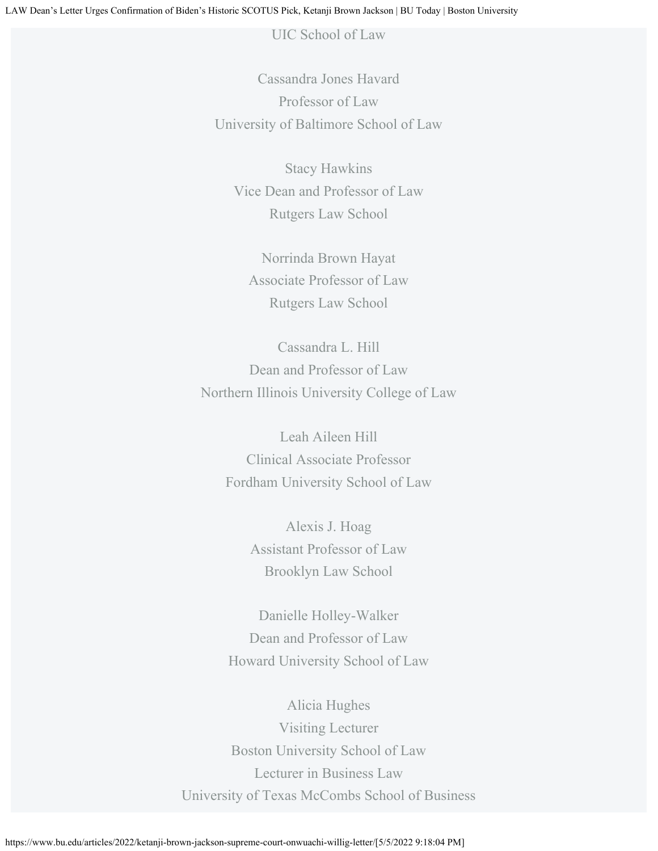UIC School of Law

Cassandra Jones Havard Professor of Law University of Baltimore School of Law

Stacy Hawkins Vice Dean and Professor of Law Rutgers Law School

Norrinda Brown Hayat Associate Professor of Law Rutgers Law School

Cassandra L. Hill Dean and Professor of Law Northern Illinois University College of Law

Leah Aileen Hill Clinical Associate Professor Fordham University School of Law

> Alexis J. Hoag Assistant Professor of Law Brooklyn Law School

Danielle Holley-Walker Dean and Professor of Law Howard University School of Law

Alicia Hughes Visiting Lecturer Boston University School of Law Lecturer in Business Law University of Texas McCombs School of Business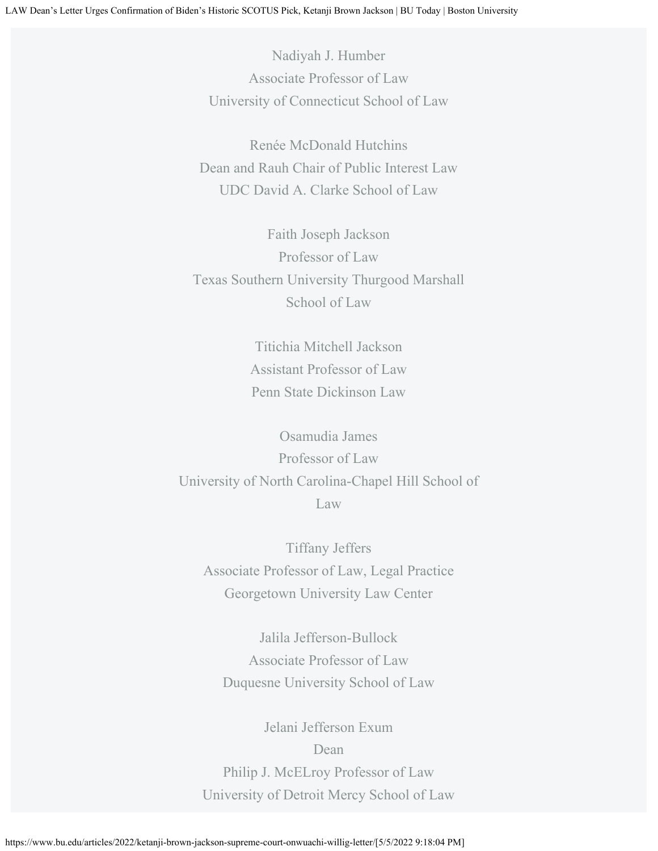Nadiyah J. Humber Associate Professor of Law University of Connecticut School of Law

Renée McDonald Hutchins Dean and Rauh Chair of Public Interest Law UDC David A. Clarke School of Law

Faith Joseph Jackson Professor of Law Texas Southern University Thurgood Marshall School of Law

> Titichia Mitchell Jackson Assistant Professor of Law Penn State Dickinson Law

Osamudia James Professor of Law University of North Carolina-Chapel Hill School of Law

Tiffany Jeffers Associate Professor of Law, Legal Practice Georgetown University Law Center

Jalila Jefferson-Bullock Associate Professor of Law Duquesne University School of Law

Jelani Jefferson Exum Dean Philip J. McELroy Professor of Law University of Detroit Mercy School of Law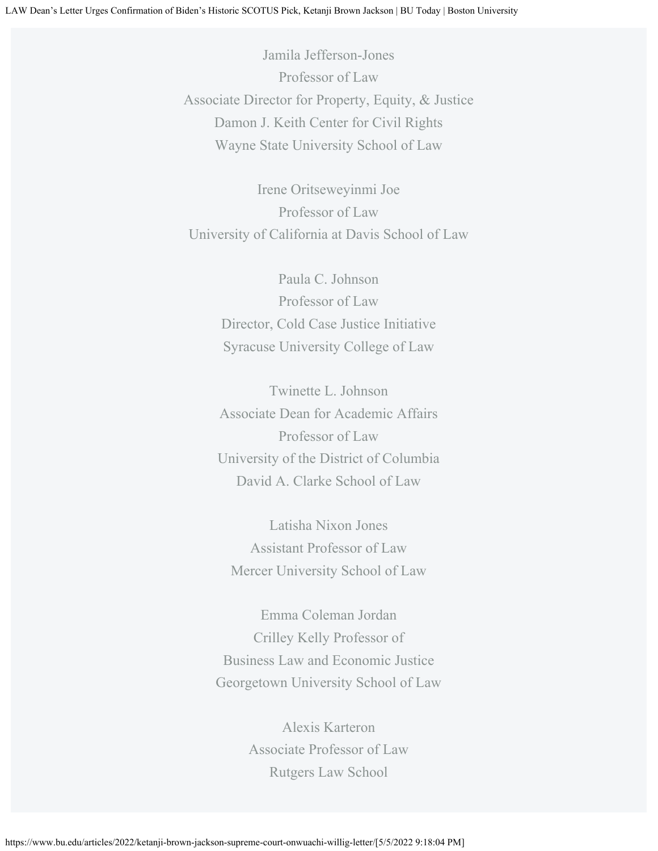Jamila Jefferson-Jones Professor of Law Associate Director for Property, Equity, & Justice Damon J. Keith Center for Civil Rights Wayne State University School of Law

Irene Oritseweyinmi Joe Professor of Law University of California at Davis School of Law

> Paula C. Johnson Professor of Law Director, Cold Case Justice Initiative Syracuse University College of Law

Twinette L. Johnson Associate Dean for Academic Affairs Professor of Law University of the District of Columbia David A. Clarke School of Law

Latisha Nixon Jones Assistant Professor of Law Mercer University School of Law

Emma Coleman Jordan Crilley Kelly Professor of Business Law and Economic Justice Georgetown University School of Law

> Alexis Karteron Associate Professor of Law Rutgers Law School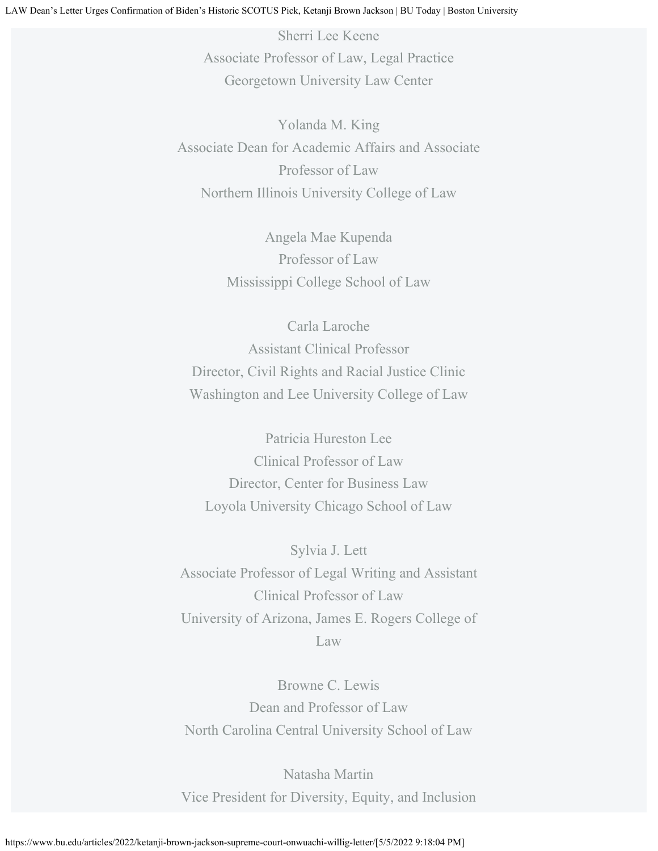Sherri Lee Keene Associate Professor of Law, Legal Practice Georgetown University Law Center

Yolanda M. King Associate Dean for Academic Affairs and Associate Professor of Law Northern Illinois University College of Law

> Angela Mae Kupenda Professor of Law Mississippi College School of Law

Carla Laroche Assistant Clinical Professor Director, Civil Rights and Racial Justice Clinic Washington and Lee University College of Law

Patricia Hureston Lee Clinical Professor of Law Director, Center for Business Law Loyola University Chicago School of Law

Sylvia J. Lett Associate Professor of Legal Writing and Assistant Clinical Professor of Law University of Arizona, James E. Rogers College of Law

Browne C. Lewis Dean and Professor of Law North Carolina Central University School of Law

Natasha Martin Vice President for Diversity, Equity, and Inclusion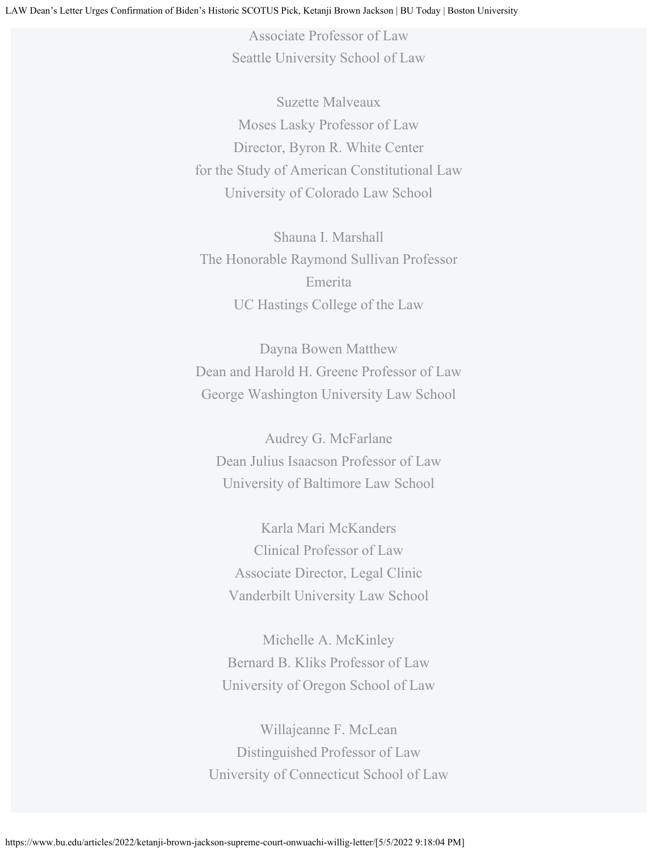Associate Professor of Law Seattle University School of Law

Suzette Malveaux Moses Lasky Professor of Law Director, Byron R. White Center for the Study of American Constitutional Law University of Colorado Law School

Shauna I. Marshall The Honorable Raymond Sullivan Professor Emerita UC Hastings College of the Law

Dayna Bowen Matthew Dean and Harold H. Greene Professor of Law George Washington University Law School

Audrey G. McFarlane Dean Julius Isaacson Professor of Law University of Baltimore Law School

Karla Mari McKanders Clinical Professor of Law Associate Director, Legal Clinic Vanderbilt University Law School

Michelle A. McKinley Bernard B. Kliks Professor of Law University of Oregon School of Law

Willajeanne F. McLean Distinguished Professor of Law University of Connecticut School of Law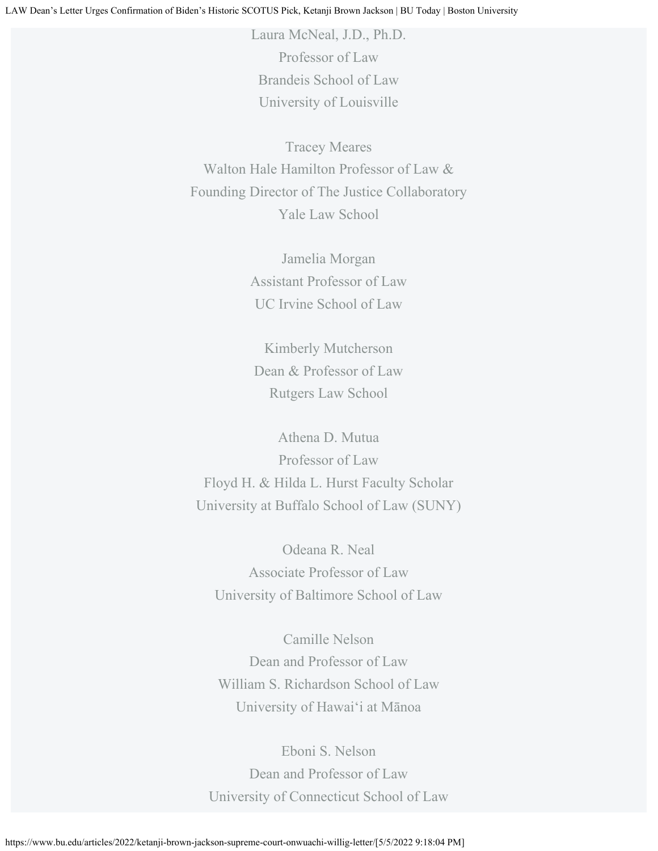Laura McNeal, J.D., Ph.D. Professor of Law Brandeis School of Law University of Louisville

Tracey Meares Walton Hale Hamilton Professor of Law & Founding Director of The Justice Collaboratory Yale Law School

> Jamelia Morgan Assistant Professor of Law UC Irvine School of Law

Kimberly Mutcherson Dean & Professor of Law Rutgers Law School

Athena D. Mutua Professor of Law Floyd H. & Hilda L. Hurst Faculty Scholar University at Buffalo School of Law (SUNY)

Odeana R. Neal Associate Professor of Law University of Baltimore School of Law

Camille Nelson Dean and Professor of Law William S. Richardson School of Law University of Hawai'i at Mānoa

Eboni S. Nelson Dean and Professor of Law University of Connecticut School of Law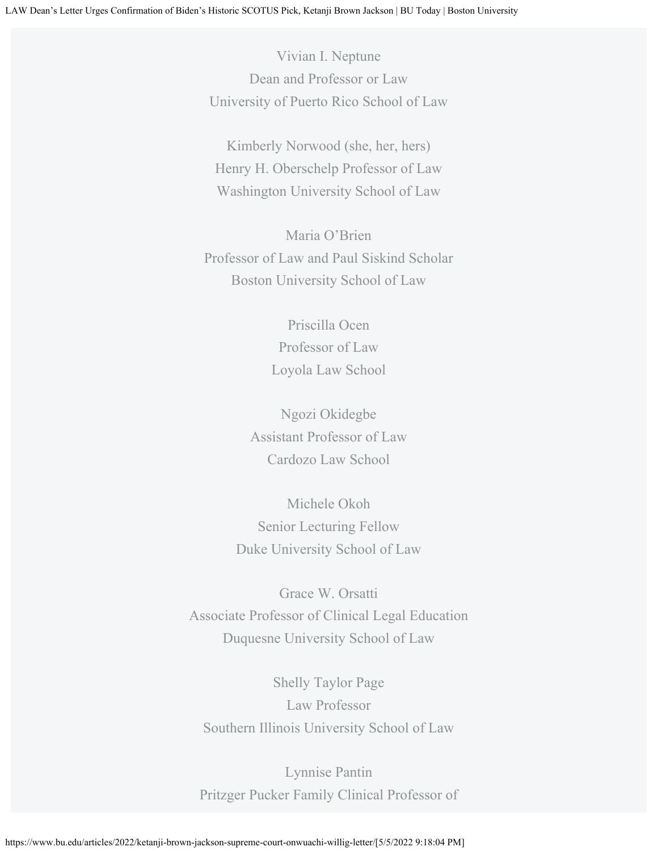Vivian I. Neptune Dean and Professor or Law University of Puerto Rico School of Law

Kimberly Norwood (she, her, hers) Henry H. Oberschelp Professor of Law Washington University School of Law

Maria O'Brien Professor of Law and Paul Siskind Scholar Boston University School of Law

> Priscilla Ocen Professor of Law Loyola Law School

Ngozi Okidegbe Assistant Professor of Law Cardozo Law School

Michele Okoh Senior Lecturing Fellow Duke University School of Law

Grace W. Orsatti Associate Professor of Clinical Legal Education Duquesne University School of Law

Shelly Taylor Page Law Professor Southern Illinois University School of Law

Lynnise Pantin Pritzger Pucker Family Clinical Professor of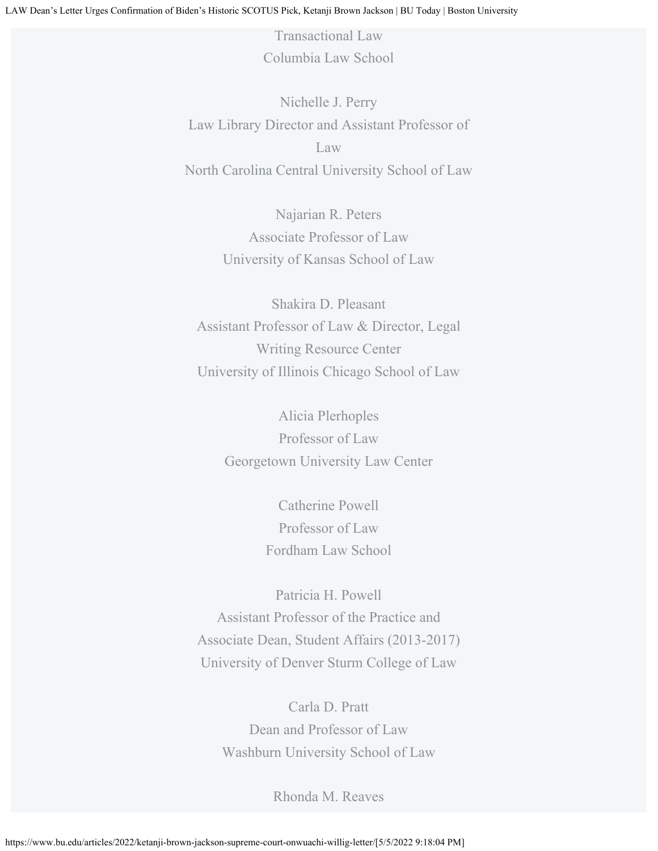Transactional Law Columbia Law School

Nichelle J. Perry Law Library Director and Assistant Professor of Law North Carolina Central University School of Law

> Najarian R. Peters Associate Professor of Law University of Kansas School of Law

Shakira D. Pleasant Assistant Professor of Law & Director, Legal Writing Resource Center University of Illinois Chicago School of Law

> Alicia Plerhoples Professor of Law Georgetown University Law Center

> > Catherine Powell Professor of Law Fordham Law School

Patricia H. Powell Assistant Professor of the Practice and Associate Dean, Student Affairs (2013-2017) University of Denver Sturm College of Law

Carla D. Pratt Dean and Professor of Law Washburn University School of Law

Rhonda M. Reaves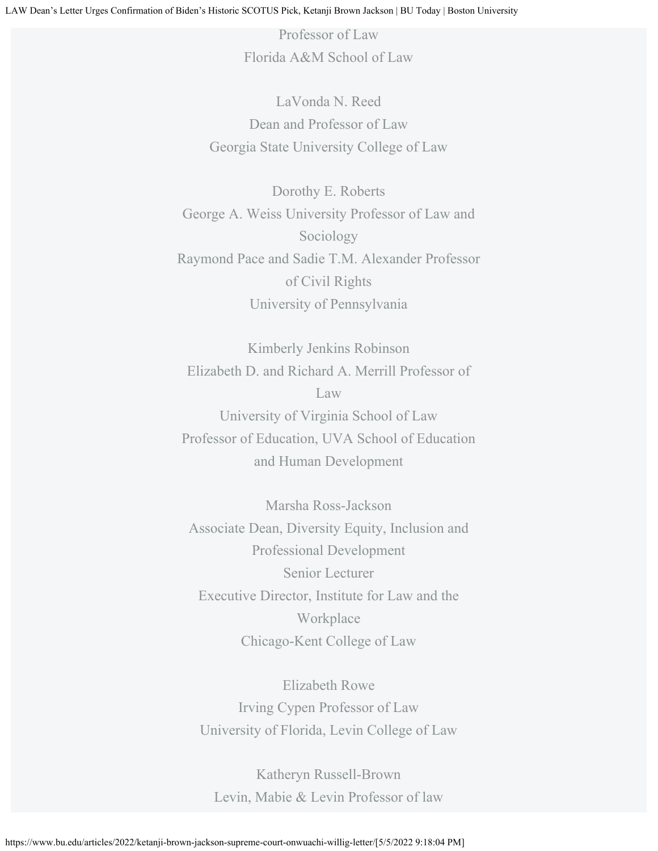Professor of Law Florida A&M School of Law

LaVonda N. Reed Dean and Professor of Law Georgia State University College of Law

Dorothy E. Roberts George A. Weiss University Professor of Law and Sociology Raymond Pace and Sadie T.M. Alexander Professor of Civil Rights University of Pennsylvania

Kimberly Jenkins Robinson Elizabeth D. and Richard A. Merrill Professor of Law University of Virginia School of Law Professor of Education, UVA School of Education and Human Development

Marsha Ross-Jackson Associate Dean, Diversity Equity, Inclusion and Professional Development Senior Lecturer Executive Director, Institute for Law and the Workplace Chicago-Kent College of Law

Elizabeth Rowe Irving Cypen Professor of Law University of Florida, Levin College of Law

Katheryn Russell-Brown Levin, Mabie & Levin Professor of law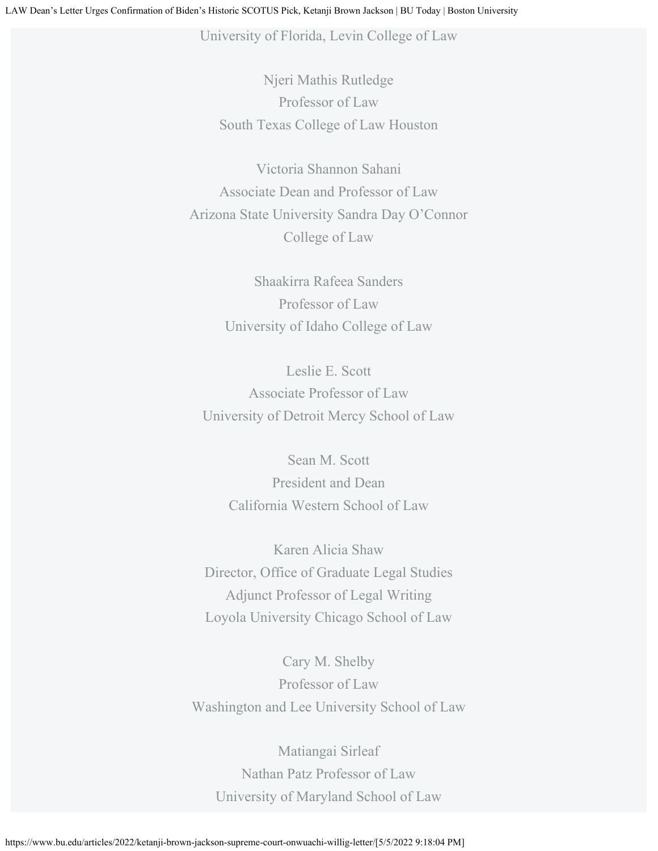University of Florida, Levin College of Law

Njeri Mathis Rutledge Professor of Law South Texas College of Law Houston

Victoria Shannon Sahani Associate Dean and Professor of Law Arizona State University Sandra Day O'Connor College of Law

> Shaakirra Rafeea Sanders Professor of Law University of Idaho College of Law

Leslie E. Scott Associate Professor of Law University of Detroit Mercy School of Law

> Sean M. Scott President and Dean California Western School of Law

Karen Alicia Shaw Director, Office of Graduate Legal Studies Adjunct Professor of Legal Writing Loyola University Chicago School of Law

Cary M. Shelby Professor of Law Washington and Lee University School of Law

Matiangai Sirleaf Nathan Patz Professor of Law University of Maryland School of Law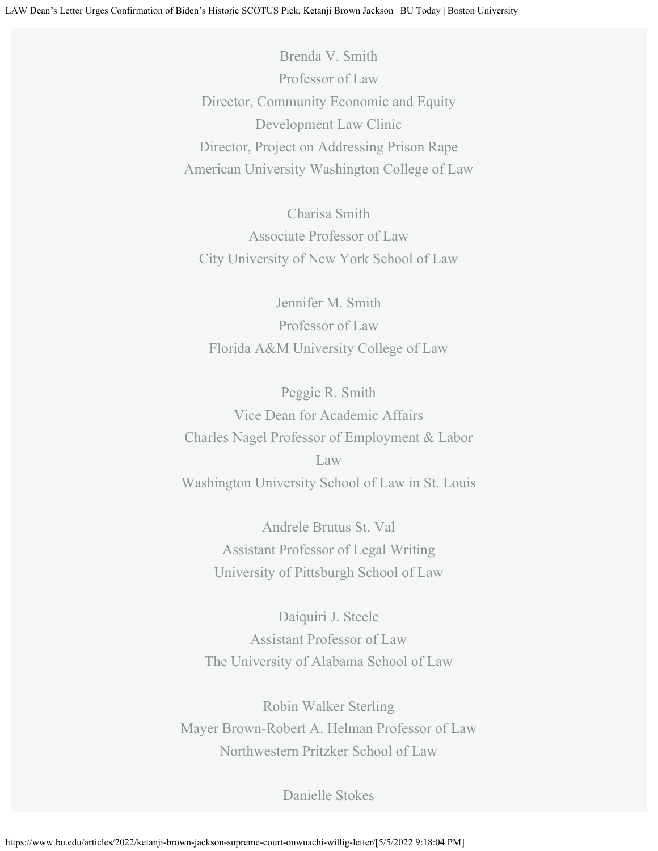Brenda V. Smith Professor of Law Director, Community Economic and Equity Development Law Clinic Director, Project on Addressing Prison Rape American University Washington College of Law

Charisa Smith Associate Professor of Law City University of New York School of Law

Jennifer M. Smith Professor of Law Florida A&M University College of Law

Peggie R. Smith Vice Dean for Academic Affairs Charles Nagel Professor of Employment & Labor Law Washington University School of Law in St. Louis

> Andrele Brutus St. Val Assistant Professor of Legal Writing University of Pittsburgh School of Law

Daiquiri J. Steele Assistant Professor of Law The University of Alabama School of Law

Robin Walker Sterling Mayer Brown-Robert A. Helman Professor of Law Northwestern Pritzker School of Law

Danielle Stokes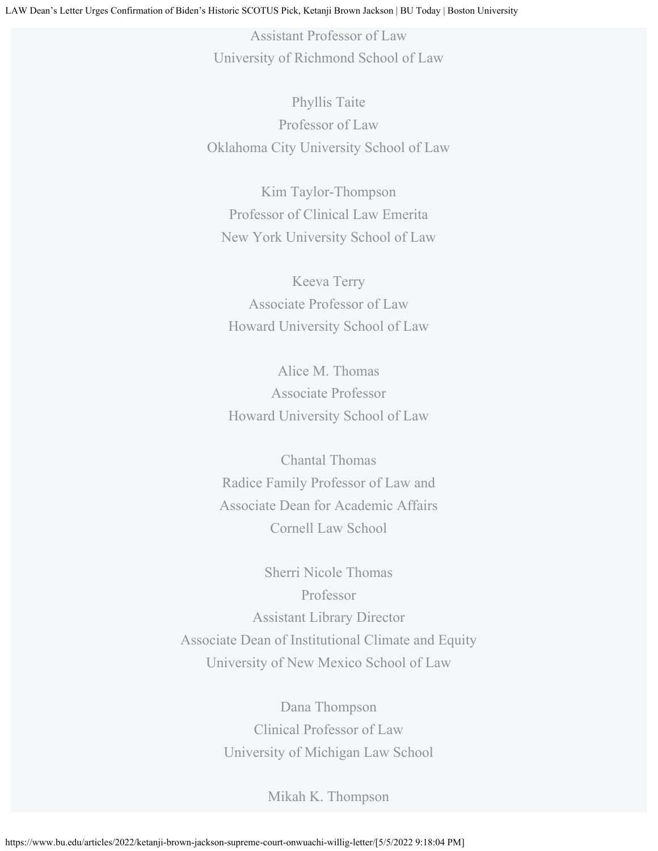Assistant Professor of Law University of Richmond School of Law

Phyllis Taite Professor of Law Oklahoma City University School of Law

Kim Taylor-Thompson Professor of Clinical Law Emerita New York University School of Law

Keeva Terry Associate Professor of Law Howard University School of Law

Alice M. Thomas Associate Professor Howard University School of Law

Chantal Thomas Radice Family Professor of Law and Associate Dean for Academic Affairs Cornell Law School

Sherri Nicole Thomas Professor Assistant Library Director Associate Dean of Institutional Climate and Equity University of New Mexico School of Law

> Dana Thompson Clinical Professor of Law University of Michigan Law School

> > Mikah K. Thompson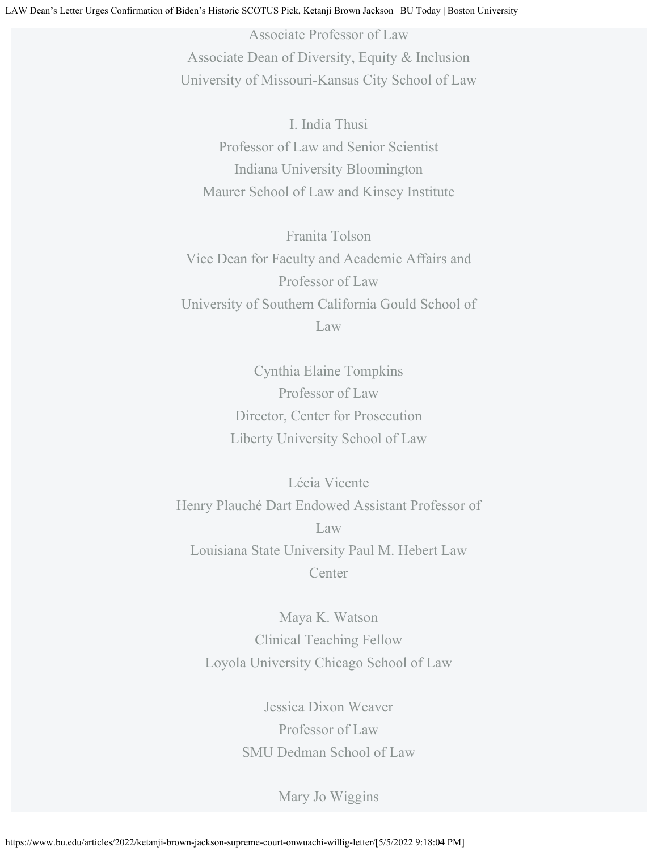Associate Professor of Law Associate Dean of Diversity, Equity & Inclusion University of Missouri-Kansas City School of Law

I. India Thusi Professor of Law and Senior Scientist Indiana University Bloomington Maurer School of Law and Kinsey Institute

Franita Tolson Vice Dean for Faculty and Academic Affairs and Professor of Law University of Southern California Gould School of Law

> Cynthia Elaine Tompkins Professor of Law Director, Center for Prosecution Liberty University School of Law

Lécia Vicente Henry Plauché Dart Endowed Assistant Professor of Law Louisiana State University Paul M. Hebert Law **Center** 

Maya K. Watson Clinical Teaching Fellow Loyola University Chicago School of Law

> Jessica Dixon Weaver Professor of Law SMU Dedman School of Law

> > Mary Jo Wiggins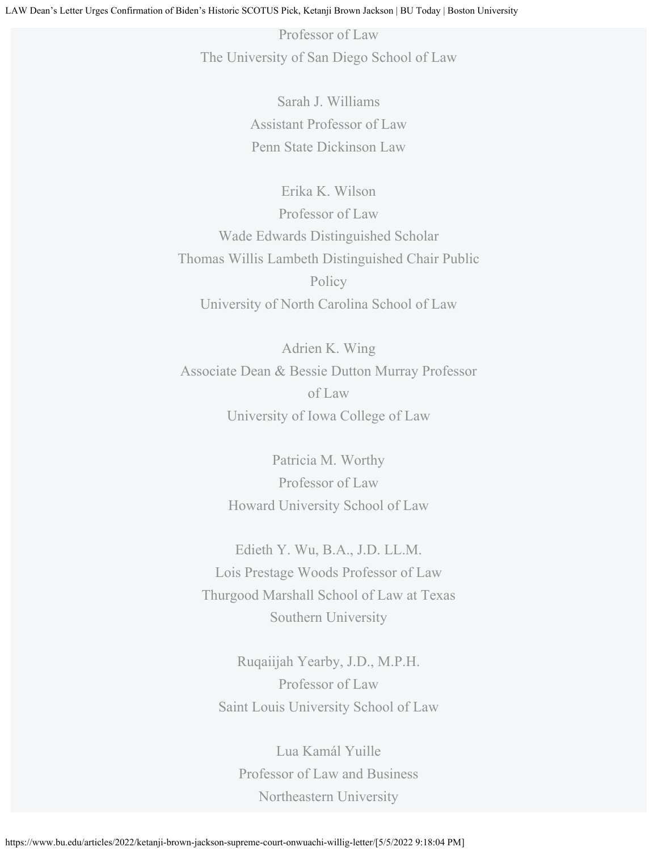Professor of Law The University of San Diego School of Law

> Sarah J. Williams Assistant Professor of Law Penn State Dickinson Law

Erika K. Wilson Professor of Law Wade Edwards Distinguished Scholar Thomas Willis Lambeth Distinguished Chair Public Policy University of North Carolina School of Law

Adrien K. Wing Associate Dean & Bessie Dutton Murray Professor of Law University of Iowa College of Law

> Patricia M. Worthy Professor of Law Howard University School of Law

Edieth Y. Wu, B.A., J.D. LL.M. Lois Prestage Woods Professor of Law Thurgood Marshall School of Law at Texas Southern University

Ruqaiijah Yearby, J.D., M.P.H. Professor of Law Saint Louis University School of Law

Lua Kamál Yuille Professor of Law and Business Northeastern University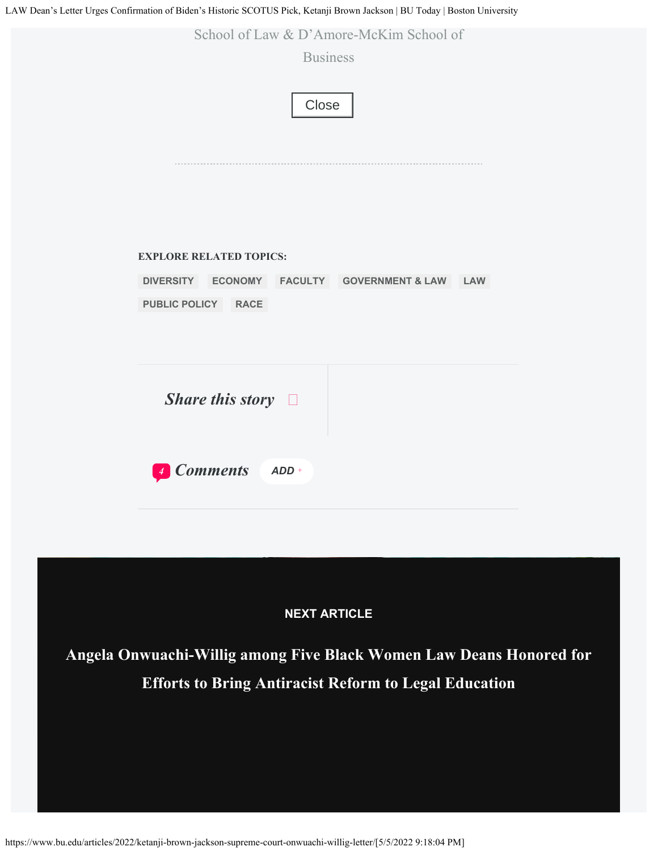LAW Dean's Letter Urges Confirmation of Biden's Historic SCOTUS Pick, Ketanji Brown Jackson | BU Today | Boston University



*Share this story*